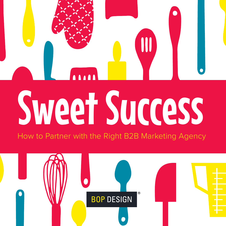# Sweet Success

How to Partner with the Right B2B Marketing Agency

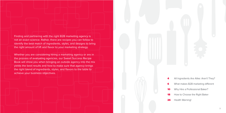Finding and partnering with the right B2B marketing agency is not an exact science. Rather, there are recipes you can follow to identify the best match of ingredients, styles, and designs to bring the right amount of lift and flavor to your marketing strategy.

Whether you are considering hiring a marketing agency or are in the process of evaluating agencies, our Sweet Success Recipe Book will show you when bringing an outside agency into the mix yields the best results and how to make sure that agency brings the right blend of ingredients, styles, and flavors to the table to achieve your business objectives.



- All Ingredients Are Alike: Aren't They?
- What makes B2B marketing different
- Why Hire a Professional Baker?
- How to Choose the Right Baker
- 26 Health Warning!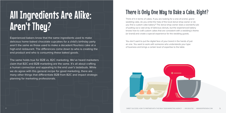## There is Only One Way to Bake a Cake, Right?

Think of it in terms of cakes. If you are looking for a one-of-a-kind, grand wedding cake, do you enlist the help of the local donut shop owner or do you find a custom cake bakery? The donut shop owner does a wonderful job of putting out a vast array of delicious donuts, but the experienced bakery knows how to craft custom cakes that are consistent with a wedding's theme (or brand) and create a special experience for the wedding guests.

You don't want to put the digital face of your brand in the hands of just an one. You want to work with someone who understands your type of business and brings a certain level of expertise to the table.



# All Ingredients Are Alike: Aren't They?

Experienced bakers know that the same ingredients used to make delicious home-baked chocolate cupcakes for a child's birthday party aren't the same as those used to make a decadent flourless cake at a high-end restaurant. The differences come down to who is creating the end product and who is consuming these baked goods.

The same holds true for B2B vs. B2C marketing. We've heard marketers claim that B2C and B2B marketing are the same. It's all about crafting a human connection and appealing to the end user's tastebuds. While we do agree with this general recipe for good marketing, there are many other things that differentiate B2B from B2C and impact strategic planning for marketing professionals.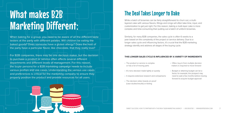# What makes B2B Marketing Different:

When baking for a group, you need to be aware of all the different taste testers at the party with different palates. Will children be eating the baked goods? Does someone have a gluten allergy? Does the host of the party have a particular flavor, like chocolate, that they really love?

While a batch of brownies can be fairly straightforward to churn out, a multilayered cake with various flavors, fillings and icings will often take time, input, and customization to get just right. For this reason, baking a multi-layer cake is more complex and time-consuming than putting out a batch of uniform brownies.

For B2B companies, there may be one decision maker, but the decision to purchase a product or service often affects several different departments and different levels of management. For this reason, the buyer persona for a B2B marketing campaign needs to include various profiles and use cases. Understanding the various use cases and preferences is critical for the marketing company to ensure they properly position the product and provide resources for all users.

- The product or service is complex or has a lot of moving parts
- It's not a decision made lightly or quickly
- It requires extensive research and comparisons
- The decision relies heavily on proof (case studies/results) or testing

## The Deal Takes Longer to Bake

Similarly, for many B2B companies, the sales cycle is often 6 weeks to a year based on the complexity of the project or service delivery. Due to a longer sales cycle and influencing factors, it's crucial that the B2B marketing strategy identify and address all stages of the buying cycle.

- Often, buy-in from multiple decision makers is required to move forward
- Budget or attaining budget can be a factor, for example, the prospect may need to wait a few months before moving forward to acquire budget approval

#### **THIS LONGER SALES CYCLE IS INFLUENCED BY A VARIETY OF INGREDIENTS**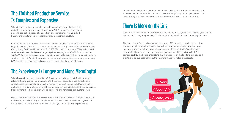

## The Finished Product or Service Is Complex and Expensive

When it comes to baking complex or custom creations, they take time, skill, and often a good deal of financial investment. Why? Because customized or personalized baked goods often use high-end ingredients, involve skilled bakers, and take time to put together so they fit together beautifully.

When baking for a special event like a 20th wedding anniversary, a 60th birthday, or a retirement party, you put more thought into the cake or desserts. Since the cake on a special occasion can make or break the memory, you want it done well. It's not a muffin grabbed on a whim while ordering coffee and forgotten two minutes after being consumed. It's something that the end users will be discussing and reminiscing about for a while.

In our experience, B2B products and services tend to be more expensive and require a larger investment. Yes, B2C products can be expensive (right now a KitchenAid® Pro Line Candy Apply Red Stand Mixer retails for \$599.99), but in comparison, B2B products and services are in a whole different range of prices (varying from \$5,000 for a product to \$100,000 for a yearly service subscription to tens of millions of dollars for manufacturing or service contracts). Due to the required investment (of money, time, resources, personnel), B2B branding and marketing efforts must continually build and uphold value.

## The Experience Is Longer and More Meaningful

B2B products and services are rarely transactional like the coffee shop muffin. This is due to the ramp up, onboarding, and implementation time involved. It's stickier to get out of a B2B product or service and often leads to a longer, more meaningful partnership.

What differentiates B2B from B2C is that the relationship for a B2B company and a client is often much longer term. It's not mere service-delivery, it's a partnership that is cultivated to last a long time. B2B marketers fail when they don't treat the client as a partner.

## There Is More on the Line

If you bake a cake for your family and it is a flop, no big deal. If you bake a cake for your niece's wedding and everyone gets sick, it's a big deal. Everyone blames you for ruining the event.

The same is true for a decision you make about a B2B product or service. If you fail to choose the right product or service, it can affect how your peers view you, how your boss views you and not only your performance, but the organization's performance as a whole. There is more on the line when it comes to making decisions for B2B companies. B2B marketers understand that there is a lot on the line for prospects and clients, and as business partners, they strive to make their clients successful.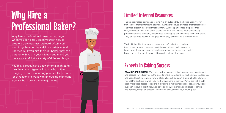Why hire a professional baker to do the job when you can easily teach yourself how to create a delicious masterpiece? Often, you are hiring them for their skill, experience, and knowledge. If you hire the right baker, they can partner with you in your kitchen and make you more successful at a variety of different things.

You may already have a few internal marketing people at your organization, so why bother bringing in more marketing people? There are a lot of reasons to work with an outside marketing agency, but here are few major ones.

# Why Hire a Professional Baker?

## Limited Internal Resources

The biggest reason companies look to hire an outside B2B marketing agency is not from lack of internal marketing acumen, but rather because of limited internal resources. The three biggest resource limitations many B2B companies face are personnel, time, and budget. For most of our clients, there are two to three internal marketing professionals who are highly experienced at managing and marketing their firm's brand. They look to us to help fill in the gaps where they just don't have the resources.

**TEAM OF SPECIALISTS:** When you work with expert bakers, you get less ruined cakes and pastries, have less trips to the store for more ingredients, no kitchen mess to clean up, and spend less time learning how to efficiently crack eggs while mixing batter. Likewise, you get the best results when you work with experts in the field. Partnering with a B2B agency provides access to experts in all facets of marketing: design, copywriting, digital outreach, inbound, direct mail, web development, conversion optimization, analysis and tracking, campaign creation, automation, print, advertising, nurturing, etc.

Think of it like this: If you own a bakery, you can't bake the cupcakes, take orders for more cupcakes, maintain your delivery truck, sweep the floors, grow the wheat, raise the chickens and harvest the eggs, run to the bank, and teach yourself every last baking technique all at once.

## Experts in Baking Success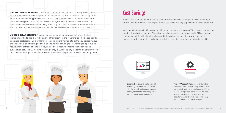

## Cost Savings

Haven't you seen the amateur baking shows? How many failed attempts to make a meringue does it take before you ask an expert to help you make one or just pay them to make it for you?

> **Project/Account Manager** to ensure the strategy is executed properly, all tasks are completed, and the campaigns are driving results. This person is the client's advocate to ensure everything is seamless and easy for the client, while also completing a lot of the tasks in the campaigns.

Wait, does that mean that hiring an outside agency means cost savings? Yes, it does, and we can break it down by the numbers. The minimum folks needed to run a successful B2B marketing strategy complete with blogging, downloadable guides, pay-per-click advertising, email marketing, website updates, and print advertising campaigns requires the following positions:



**Graphic Designer** to make sure all marketing materials are consistent with the brand, and source photos, videos, animations and manipulate them for each individual piece.



**UP ON CURRENT TRENDS:** Cupcakes are out and donuts are in! A company working with an agency can be certain the agency's employees are current on the latest marketing trends. As an internal marketing professional, you are likely aware of all the recent advances and news affecting your firm's industry. Likewise, an agency's employees stay current on the latest trends in marketing and are using them daily on client campaigns. They know what is working, what is overblown hype, and can discuss the latest techniques and tools with you.

**VENDOR RELATIONSHIPS:** An experience chef or baker knows where to get the best ingredients, who to hire that will deliver on their promise, and where to sell the baked goods to get the best results. On a similar note, a comprehensive marketing strategy utilizes various channels, tools, and tracking software to ensure that campaigns are working and producing results. Many of these channels, tools, and software require ongoing relationships and subscription services. By working with an agency, a B2B company reaps the benefits of these tools without having to make the additional investment or spending the time to manage them.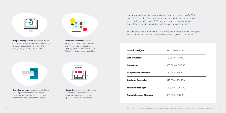

**Pay-per-click Specialist**– to manage all PPC campaigns (AdWords, Bing, and Retargeting) to ensure budgets are maximized and driving the right leads (not just traffic).



**Analytics Specialist** to evaluate the efficacy of all programs, ensure everything is tracking properly so campaigns can be evaluated on their ROI and lead generation capabilities.

**Technical Manager** to make sure all things work together seamlessly and ensure the user experience is great and search engines can easily access the website.



**Copywriter** to draft and edit all copy and content to ensure the value proposition is clear and the text speaks to the desired audience.

Now, these are the minimum of specialists required on a successful B2B marketing campaign. There are many other specialists that can be drawn in as needed: media buyers, SEO managers, content strategists, video specialists, conversion specialists, printers, mail houses, and more.

So, let's break down the numbers. We are giving the range, so you can get an idea of entry-level, mid-level vs. highly experienced, skilled employees.

#### **Graphic Designer**

**Web Developer** 

**Copywriter** 

**Pay-per-click Specialist** 

**Analytics Specialist** 

**Technical Manager** 

#### **Project/Account Manager**

| $$40,000 - 83,250$  |
|---------------------|
| $$62,500 - 110,000$ |
| $$55,000 - 105,250$ |
| $$52,000 - 94,750$  |
| $$49,000 - 104,250$ |
| $$62,000 - 126,000$ |
| $$53,500 - 98,000$  |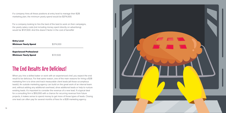

If a company hires all these positions at entry level to manage their B2B marketing plan, the minimum yearly spend would be \$374,000.

For a company looking to hire the best of the best to work on their campaigns, the yearly salary costs (not including money spent directly on advertising) would be \$721,500. And this doesn't factor in the cost of benefits!

## The End Results Are Delicious!

When you hire a skilled baker or work with an experienced chef, you expect the end result to be delicious. For that same reason, one of the main reasons for hiring a B2B marketing firm is to drive and track measurable client leads (all those scrumptious leads!). An outside marketing agency can build on the great work of an internal team and, without adding any additional overhead, drive additional leads or help to nurture existing leads. It's important to consider the revenue of a new lead. If a typical deal for a consulting firm is \$50,000 with a chance for recurring revenue from future projects, it makes sense to spend money to get more of those types of leads. Closing one lead can often pay for several months of fees for a B2B marketing agency.

| <b>Entry Level</b><br><b>Minimum Yearly Spend</b>              | \$374,000 |
|----------------------------------------------------------------|-----------|
| <b>Experienced Professional</b><br><b>Minimum Yearly Spend</b> | \$721,500 |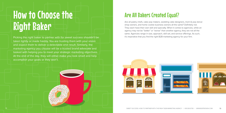## Are All Bakers Created Equal?

Are all pastry chefs, cake pop makers, wedding cake designers, mom & pop donut shop owners, and home cookie business owners all the same? Definitely not. They each have their own skill and specialty. When it comes to agencies, while an agency may not be "better" or "worse" than another agency, they are not all the same. Agencies range in size, approach, skill set, and service offerings. As such,



Picking the right baker to partner with for sweet success shouldn't be right it's imperative that you find the right B2B marketing agency for your firm. taken lightly or made hastily. You are trusting them with your vision and expect them to deliver a delectable end result. Similarly, the marketing agency you choose will be a trusted brand advocate and tasked with helping you to meet your strategic marketing objectives. At the end of the day, they will either make you look smart and help accomplish your goals or they won't.

# How to Choose the Right Baker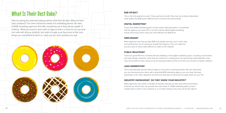#### **B2B OR B2C?**

This is the first question to ask. If they say they do both, they may not entirely understand what makes the B2B space different from consumer-focused brands.

#### **DIGITAL MARKETING?**

If your main B2B marketing goals include online lead generation, it's essential that the agency you work with is on top of all the latest digital marketing trends and knows which ones are most effective for B2B firms.

#### **WEB DESIGN?**

Many agencies say they provide B2B web design services, but in truth, they end up farming it out to someone outside their agency. This can make the process slow or future edits difficult to make on the website.

#### **PUBLIC RELATIONS?**

There are great PR firms out there that are dabbling in the digital marketing space, including social media and web design. However, while they are superior in creating buzz and garnering media attention, they may not be able to drive results as far as lead generation as this is not the core function of public relations.

#### **LEAD GENERATION?**

Don't automatically assume that an agency is focused on lead generation. Be sure that when you are discussing your plans with a potential B2B marketing agency, you are clear that lead generation is the main objective and ask how they plan to track and increase leads for your firm.

#### **INDUSTRY KNOWLEDGE? DO THEY KNOW YOUR INDUSTRY?**

Many agencies work within a handful of industry verticals as they have discovered these verticals are where they can provide the most value. If a B2B marketing agency hasn't worked with a client in your industry or in a similar industry, they may not be the right fit.

## What Is Their Best Bake?

Start by asking the potential baking partner what they do best. What are their best creations? The same should be asked of a marketing partner. Be wary of B2B marketing agencies that offer everything since they will be master of nothing. While you want to work with an agency that is a resource for you and can help with all your projects, you want to make sure they excel at the main things you need them to work on. Here are the main questions to ask:

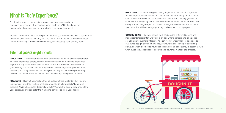## What Is Their Experience?

Did they just open up a cupcake shop or have they been serving up cupcakes for years with thousands of happy customers? Do they know the average donut purchaser or do they stick to cake-pop aficionados?

We've all been there when a salesperson has said yes to everything we've asked, only to find out after the sale that they can't deliver on half of the things we asked about. Rather than asking if they can do something, ask what they have already done.

**INDUSTRIES** – Doe they understand the taste buds and palate of your customers? As we've mentioned before, find out if they have any B2B marketing experience in your industry. Ask for examples of other clients that they have worked within your industry or a similar industry. They should have an organized portfolio ready to show you. If they haven't worked with your industry, ask what companies they have worked with that are similar and what results they have gotten for them.

### Potential queries might include:

**PROJECTS** – Has that potential partner baked something similar to what you are looking for? Have they worked on larger projects? Smaller projects? Long-term projects? National projects? Regional projects? You want to ensure they understand your objectives and can tailor the marketing services to meet your needs.

**PERSONNEL** – Is their baking staff ready to go? Who works for the agency? A lot of larger agencies will hire and lay off workers depending on their client load. While this is common, it's not always a best practice. Ideally, you want to work with a B2B agency that is flexible and adaptable but has an experienced, core group of designers, writers, project managers, developers, and technical specialists that will be managing the day to day work on your project.

**OUTSOURCING** – Do their bakers work offsite using different kitchens and inconsistent ingredients? We work in an age where borders and time zones aren't barriers, but merely factors. As such, it's not uncommon for agencies to outsource design, development, copywriting, technical editing or publishing. However, when it comes to your business and brand, consistency is essential. Ask what duties they specifically outsource and how they manage the process.

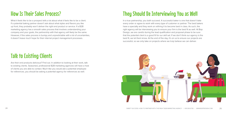## How Is Their Sales Process?

What it feels like to be a prospect tells a lot about what it feels like to be a client. If a potential baking partner doesn't ask about what styles and flavors you like up front, they probably won't deliver the right end product or service. If a B2B marketing agency has a smooth sales process that involves understanding your company and your goals, the partnership with that agency will likely be the same. However, if the sales process is bumpy and unpredictable with a lot of uncertainties, it doesn't leave much hope for their internal project management processes.

## Talk to Existing Clients

Are their end products delicious? Find out. In addition to looking at their work, talk to existing clients. Seasoned, professional B2B marketing agencies will have a host of clients you are able to contact. Much like you would ask a potential employee for references, you should be asking a potential agency for references as well.

## They Should Be Interviewing You as Well

In a true partnership, you both succeed. A successful baker is one that doesn't take every order or agree to work with every type of customer or partner. The best bakers have a specialty and they work on refining it to become best in class. As such, the right agency will be interviewing you to ensure your firm is the best fit as well. At Bop Design, we are careful during the lead qualification and proposal phase to be sure that the potential client is a good fit for our skill set. If we don't think our agency is the best fit, we let them know. At the end of the day, it's on us to ensure our projects are successful, so we only take on projects where we truly believe we can deliver.

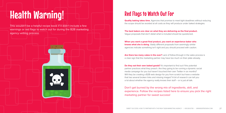## Red Flags to Watch Out For

**Quality baking takes time.** Agencies that promise to meet tight deadlines without reducing the scope should be avoided at all costs as they will produce under baked strategies.

**The best bakers are clear on what they are delivering as the final product.**  Vague proposals that don't detail what is included should be questioned.

**Are there too many cakes in the over?** Lack of follow-through in the sales process is a clear sign that the marketing partner may have too much on their plate already.

**When you want a great final product, you want an experience baker who knows what she is doing.** Vastly different proposals from seemingly similar agencies indicate something isn't right and you should proceed with caution.

**Do they eat their own baked goods?** It's important to find out if the potential partner practices what they preach. Are they going to be running a dynamic social media campaign for you but haven't touched their own Twitter in six months? Will they be creating a B2B web design for you from scratch but have a website that has several broken links and missing images? A bit of research can tell you a lot about whether the agency really knows their stuff – or is just all talk.

Don't get burned by the wrong mix of ingredients, skill, and marketing partner for sweet success!

## experience. Follow the recipes listed here to ensure you pick the right

# Health Warning!

This wouldn't be a helpful recipe book if it didn't include a few warnings or red flags to watch out for during the B2B marketing agency vetting process.